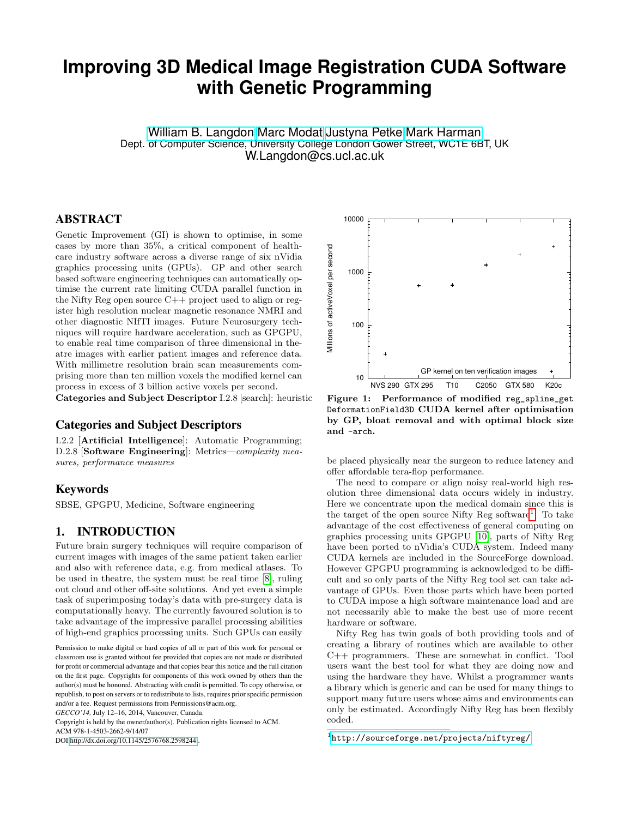# **Improving 3D Medical Image Registration CUDA Software with Genetic Programming**

[William B. Langdon](http://www.cs.ucl.ac.uk/staff/W.Langdon/) [Marc Modat](http://www.cs.ucl.ac.uk/staff/M.Modat/) [Justyna Petke](http://www.cs.ucl.ac.uk/staff/J.Petke/) [Mark Harman](http://www.cs.ucl.ac.uk/staff/M.Harman/) Dept. of Computer Science, University College London Gower Street, WC1E 6BT, UK W.Langdon@cs.ucl.ac.uk

## ABSTRACT

Genetic Improvement (GI) is shown to optimise, in some cases by more than 35%, a critical component of healthcare industry software across a diverse range of six nVidia graphics processing units (GPUs). GP and other search based software engineering techniques can automatically optimise the current rate limiting CUDA parallel function in the Nifty Reg open source  $C_{++}$  project used to align or register high resolution nuclear magnetic resonance NMRI and other diagnostic NIfTI images. Future Neurosurgery techniques will require hardware acceleration, such as GPGPU, to enable real time comparison of three dimensional in theatre images with earlier patient images and reference data. With millimetre resolution brain scan measurements comprising more than ten million voxels the modified kernel can process in excess of 3 billion active voxels per second.

Categories and Subject Descriptor I.2.8 [search]: heuristic

## Categories and Subject Descriptors

I.2.2 [Artificial Intelligence]: Automatic Programming; D.2.8 **[Software Engineering**]: Metrics—complexity measures, performance measures

## Keywords

SBSE, GPGPU, Medicine, Software engineering

## 1. INTRODUCTION

Future brain surgery techniques will require comparison of current images with images of the same patient taken earlier and also with reference data, e.g. from medical atlases. To be used in theatre, the system must be real time [\[8\]](#page-7-0), ruling out cloud and other off-site solutions. And yet even a simple task of superimposing today's data with pre-surgery data is computationally heavy. The currently favoured solution is to take advantage of the impressive parallel processing abilities of high-end graphics processing units. Such GPUs can easily

Copyright is held by the owner/author(s). Publication rights licensed to ACM. ACM 978-1-4503-2662-9/14/07

DOI<http://dx.doi.org/10.1145/2576768.2598244> .



<span id="page-0-1"></span>Figure 1: Performance of modified reg\_spline\_get DeformationField3D CUDA kernel after optimisation by GP, bloat removal and with optimal block size and -arch.

be placed physically near the surgeon to reduce latency and offer affordable tera-flop performance.

The need to compare or align noisy real-world high resolution three dimensional data occurs widely in industry. Here we concentrate upon the medical domain since this is the target of the open source Nifty Reg software<sup>[1](#page-0-0)</sup>. To take advantage of the cost effectiveness of general computing on graphics processing units GPGPU [\[10\]](#page-7-1), parts of Nifty Reg have been ported to nVidia's CUDA system. Indeed many CUDA kernels are included in the SourceForge download. However GPGPU programming is acknowledged to be difficult and so only parts of the Nifty Reg tool set can take advantage of GPUs. Even those parts which have been ported to CUDA impose a high software maintenance load and are not necessarily able to make the best use of more recent hardware or software.

Nifty Reg has twin goals of both providing tools and of creating a library of routines which are available to other C++ programmers. These are somewhat in conflict. Tool users want the best tool for what they are doing now and using the hardware they have. Whilst a programmer wants a library which is generic and can be used for many things to support many future users whose aims and environments can only be estimated. Accordingly Nifty Reg has been flexibly coded.

Permission to make digital or hard copies of all or part of this work for personal or classroom use is granted without fee provided that copies are not made or distributed for profit or commercial advantage and that copies bear this notice and the full citation on the first page. Copyrights for components of this work owned by others than the author(s) must be honored. Abstracting with credit is permitted. To copy otherwise, or republish, to post on servers or to redistribute to lists, requires prior specific permission and/or a fee. Request permissions from Permissions@acm.org.

*GECCO'14,* July 12–16, 2014, Vancouver, Canada.

<span id="page-0-0"></span><sup>1</sup> <http://sourceforge.net/projects/niftyreg/>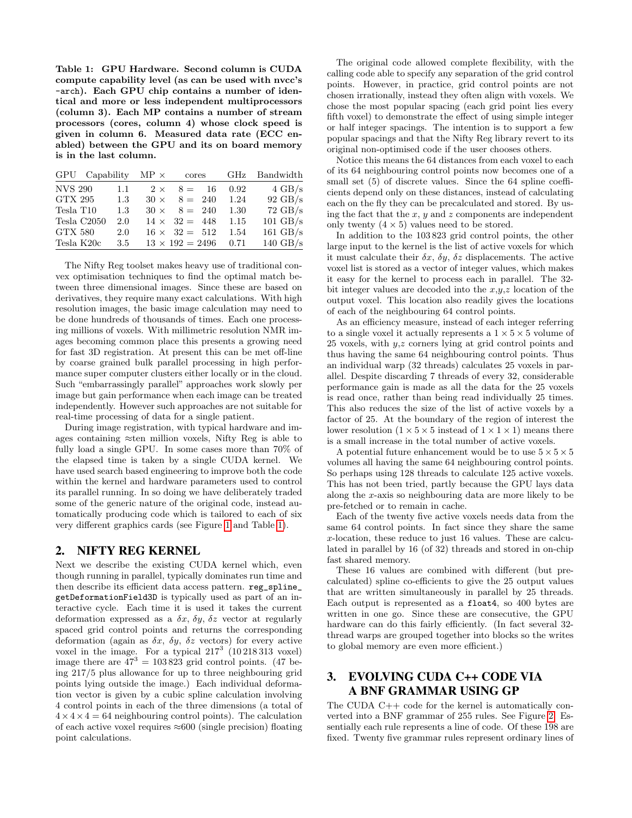<span id="page-1-0"></span>Table 1: GPU Hardware. Second column is CUDA compute capability level (as can be used with nvcc's -arch). Each GPU chip contains a number of identical and more or less independent multiprocessors (column 3). Each MP contains a number of stream processors (cores, column 4) whose clock speed is given in column 6. Measured data rate (ECC enabled) between the GPU and its on board memory is in the last column.

|                         | GPU Capability $MP \times$ |             | cores                  |    | GHz  | Bandwidth          |
|-------------------------|----------------------------|-------------|------------------------|----|------|--------------------|
| <b>NVS 290</b>          | 1.1                        | $2 \times$  | $8 =$                  | 16 | 0.92 | $4 \text{ GB/s}$   |
| GTX 295                 | 1.3                        | $30 \times$ | $8 = 240$              |    | 1.24 | $92 \text{ GB/s}$  |
| Tesla T <sub>10</sub>   | 1.3                        | $30 \times$ | $8 = 240$              |    | 1.30 | $72 \text{ GB/s}$  |
| Tesla C <sub>2050</sub> | 2.0                        |             | $14 \times 32 = 448$   |    | 1.15 | $101 \text{ GB/s}$ |
| <b>GTX 580</b>          | 2.0                        |             | $16 \times 32 = 512$   |    | 1.54 | 161 $GB/s$         |
| Tesla K20c              | 3.5                        |             | $13 \times 192 = 2496$ |    | 0.71 | $140 \text{ GB/s}$ |

The Nifty Reg toolset makes heavy use of traditional convex optimisation techniques to find the optimal match between three dimensional images. Since these are based on derivatives, they require many exact calculations. With high resolution images, the basic image calculation may need to be done hundreds of thousands of times. Each one processing millions of voxels. With millimetric resolution NMR images becoming common place this presents a growing need for fast 3D registration. At present this can be met off-line by coarse grained bulk parallel processing in high performance super computer clusters either locally or in the cloud. Such "embarrassingly parallel" approaches work slowly per image but gain performance when each image can be treated independently. However such approaches are not suitable for real-time processing of data for a single patient.

During image registration, with typical hardware and images containing ≈ten million voxels, Nifty Reg is able to fully load a single GPU. In some cases more than 70% of the elapsed time is taken by a single CUDA kernel. We have used search based engineering to improve both the code within the kernel and hardware parameters used to control its parallel running. In so doing we have deliberately traded some of the generic nature of the original code, instead automatically producing code which is tailored to each of six very different graphics cards (see Figure [1](#page-0-1) and Table [1\)](#page-1-0).

## 2. NIFTY REG KERNEL

Next we describe the existing CUDA kernel which, even though running in parallel, typically dominates run time and then describe its efficient data access pattern. reg\_spline\_ getDeformationField3D is typically used as part of an interactive cycle. Each time it is used it takes the current deformation expressed as a  $\delta x$ ,  $\delta y$ ,  $\delta z$  vector at regularly spaced grid control points and returns the corresponding deformation (again as  $\delta x$ ,  $\delta y$ ,  $\delta z$  vectors) for every active voxel in the image. For a typical  $217^3$  (10 218 313 voxel) image there are  $47<sup>3</sup> = 103823$  grid control points. (47 being 217/5 plus allowance for up to three neighbouring grid points lying outside the image.) Each individual deformation vector is given by a cubic spline calculation involving 4 control points in each of the three dimensions (a total of  $4 \times 4 \times 4 = 64$  neighbouring control points). The calculation of each active voxel requires  $\approx 600$  (single precision) floating point calculations.

The original code allowed complete flexibility, with the calling code able to specify any separation of the grid control points. However, in practice, grid control points are not chosen irrationally, instead they often align with voxels. We chose the most popular spacing (each grid point lies every fifth voxel) to demonstrate the effect of using simple integer or half integer spacings. The intention is to support a few popular spacings and that the Nifty Reg library revert to its original non-optimised code if the user chooses others.

Notice this means the 64 distances from each voxel to each of its 64 neighbouring control points now becomes one of a small set  $(5)$  of discrete values. Since the 64 spline coefficients depend only on these distances, instead of calculating each on the fly they can be precalculated and stored. By using the fact that the  $x, y$  and  $z$  components are independent only twenty  $(4 \times 5)$  values need to be stored.

In addition to the 103 823 grid control points, the other large input to the kernel is the list of active voxels for which it must calculate their  $\delta x$ ,  $\delta y$ ,  $\delta z$  displacements. The active voxel list is stored as a vector of integer values, which makes it easy for the kernel to process each in parallel. The 32 bit integer values are decoded into the  $x,y,z$  location of the output voxel. This location also readily gives the locations of each of the neighbouring 64 control points.

As an efficiency measure, instead of each integer referring to a single voxel it actually represents a  $1 \times 5 \times 5$  volume of 25 voxels, with  $y,z$  corners lying at grid control points and thus having the same 64 neighbouring control points. Thus an individual warp (32 threads) calculates 25 voxels in parallel. Despite discarding 7 threads of every 32, considerable performance gain is made as all the data for the 25 voxels is read once, rather than being read individually 25 times. This also reduces the size of the list of active voxels by a factor of 25. At the boundary of the region of interest the lower resolution  $(1 \times 5 \times 5$  instead of  $1 \times 1 \times 1$ ) means there is a small increase in the total number of active voxels.

A potential future enhancement would be to use  $5 \times 5 \times 5$ volumes all having the same 64 neighbouring control points. So perhaps using 128 threads to calculate 125 active voxels. This has not been tried, partly because the GPU lays data along the x-axis so neighbouring data are more likely to be pre-fetched or to remain in cache.

Each of the twenty five active voxels needs data from the same 64 control points. In fact since they share the same x-location, these reduce to just 16 values. These are calculated in parallel by 16 (of 32) threads and stored in on-chip fast shared memory.

These 16 values are combined with different (but precalculated) spline co-efficients to give the 25 output values that are written simultaneously in parallel by 25 threads. Each output is represented as a float4, so 400 bytes are written in one go. Since these are consecutive, the GPU hardware can do this fairly efficiently. (In fact several 32thread warps are grouped together into blocks so the writes to global memory are even more efficient.)

# 3. EVOLVING CUDA C++ CODE VIA A BNF GRAMMAR USING GP

The CUDA C++ code for the kernel is automatically converted into a BNF grammar of 255 rules. See Figure [2.](#page-3-0) Essentially each rule represents a line of code. Of these 198 are fixed. Twenty five grammar rules represent ordinary lines of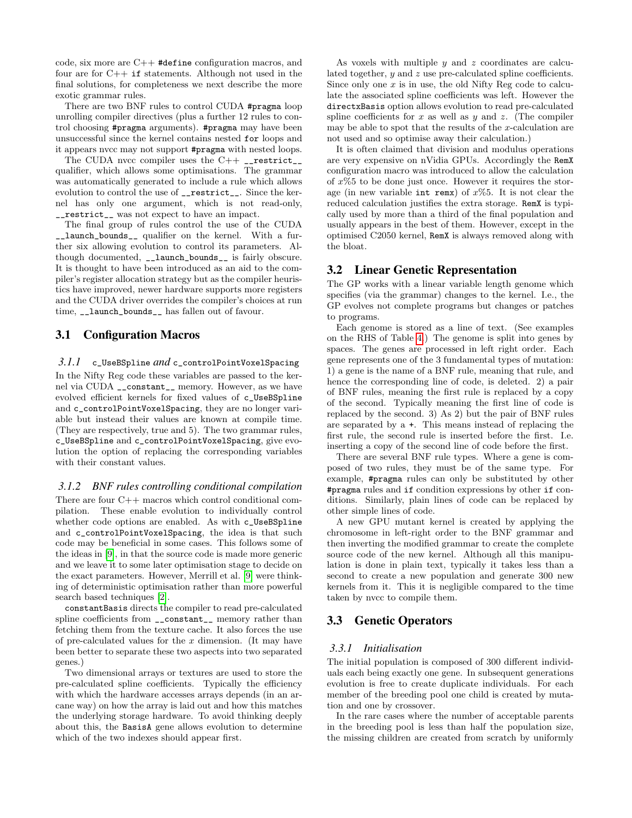code, six more are C++ #define configuration macros, and four are for  $C++$  if statements. Although not used in the final solutions, for completeness we next describe the more exotic grammar rules.

There are two BNF rules to control CUDA #pragma loop unrolling compiler directives (plus a further 12 rules to control choosing #pragma arguments). #pragma may have been unsuccessful since the kernel contains nested for loops and it appears nvcc may not support #pragma with nested loops.

The CUDA nvcc compiler uses the  $C++$  \_restrict\_\_ qualifier, which allows some optimisations. The grammar was automatically generated to include a rule which allows evolution to control the use of \_\_restrict\_\_. Since the kernel has only one argument, which is not read-only, \_\_restrict\_\_ was not expect to have an impact.

The final group of rules control the use of the CUDA \_\_launch\_bounds\_\_ qualifier on the kernel. With a further six allowing evolution to control its parameters. Although documented, \_\_launch\_bounds\_\_ is fairly obscure. It is thought to have been introduced as an aid to the compiler's register allocation strategy but as the compiler heuristics have improved, newer hardware supports more registers and the CUDA driver overrides the compiler's choices at run time, \_\_launch\_bounds\_\_ has fallen out of favour.

## 3.1 Configuration Macros

#### <span id="page-2-0"></span>*3.1.1* c\_UseBSpline *and* c\_controlPointVoxelSpacing

In the Nifty Reg code these variables are passed to the kernel via CUDA \_\_constant\_\_ memory. However, as we have evolved efficient kernels for fixed values of c\_UseBSpline and c\_controlPointVoxelSpacing, they are no longer variable but instead their values are known at compile time. (They are respectively, true and 5). The two grammar rules, c\_UseBSpline and c\_controlPointVoxelSpacing, give evolution the option of replacing the corresponding variables with their constant values.

#### <span id="page-2-1"></span>*3.1.2 BNF rules controlling conditional compilation*

There are four C++ macros which control conditional compilation. These enable evolution to individually control whether code options are enabled. As with c\_UseBSpline and c\_controlPointVoxelSpacing, the idea is that such code may be beneficial in some cases. This follows some of the ideas in [\[9\]](#page-7-2), in that the source code is made more generic and we leave it to some later optimisation stage to decide on the exact parameters. However, Merrill et al. [\[9\]](#page-7-2) were thinking of deterministic optimisation rather than more powerful search based techniques [\[2\]](#page-7-3).

constantBasis directs the compiler to read pre-calculated spline coefficients from  $\text{\_}constant\text{\_}$  memory rather than fetching them from the texture cache. It also forces the use of pre-calculated values for the  $x$  dimension. (It may have been better to separate these two aspects into two separated genes.)

Two dimensional arrays or textures are used to store the pre-calculated spline coefficients. Typically the efficiency with which the hardware accesses arrays depends (in an arcane way) on how the array is laid out and how this matches the underlying storage hardware. To avoid thinking deeply about this, the BasisA gene allows evolution to determine which of the two indexes should appear first.

As voxels with multiple  $y$  and  $z$  coordinates are calculated together, y and z use pre-calculated spline coefficients. Since only one  $x$  is in use, the old Nifty Reg code to calculate the associated spline coefficients was left. However the directxBasis option allows evolution to read pre-calculated spline coefficients for x as well as y and z. (The compiler may be able to spot that the results of the  $x$ -calculation are not used and so optimise away their calculation.)

It is often claimed that division and modulus operations are very expensive on nVidia GPUs. Accordingly the RemX configuration macro was introduced to allow the calculation of  $x\%5$  to be done just once. However it requires the storage (in new variable int remx) of  $x\%5$ . It is not clear the reduced calculation justifies the extra storage. RemX is typically used by more than a third of the final population and usually appears in the best of them. However, except in the optimised C2050 kernel, RemX is always removed along with the bloat.

#### 3.2 Linear Genetic Representation

The GP works with a linear variable length genome which specifies (via the grammar) changes to the kernel. I.e., the GP evolves not complete programs but changes or patches to programs.

Each genome is stored as a line of text. (See examples on the RHS of Table [4.](#page-5-0)) The genome is split into genes by spaces. The genes are processed in left right order. Each gene represents one of the 3 fundamental types of mutation: 1) a gene is the name of a BNF rule, meaning that rule, and hence the corresponding line of code, is deleted. 2) a pair of BNF rules, meaning the first rule is replaced by a copy of the second. Typically meaning the first line of code is replaced by the second. 3) As 2) but the pair of BNF rules are separated by a +. This means instead of replacing the first rule, the second rule is inserted before the first. I.e. inserting a copy of the second line of code before the first.

There are several BNF rule types. Where a gene is composed of two rules, they must be of the same type. For example, #pragma rules can only be substituted by other #pragma rules and if condition expressions by other if conditions. Similarly, plain lines of code can be replaced by other simple lines of code.

A new GPU mutant kernel is created by applying the chromosome in left-right order to the BNF grammar and then inverting the modified grammar to create the complete source code of the new kernel. Although all this manipulation is done in plain text, typically it takes less than a second to create a new population and generate 300 new kernels from it. This it is negligible compared to the time taken by nvcc to compile them.

#### 3.3 Genetic Operators

#### *3.3.1 Initialisation*

The initial population is composed of 300 different individuals each being exactly one gene. In subsequent generations evolution is free to create duplicate individuals. For each member of the breeding pool one child is created by mutation and one by crossover.

In the rare cases where the number of acceptable parents in the breeding pool is less than half the population size, the missing children are created from scratch by uniformly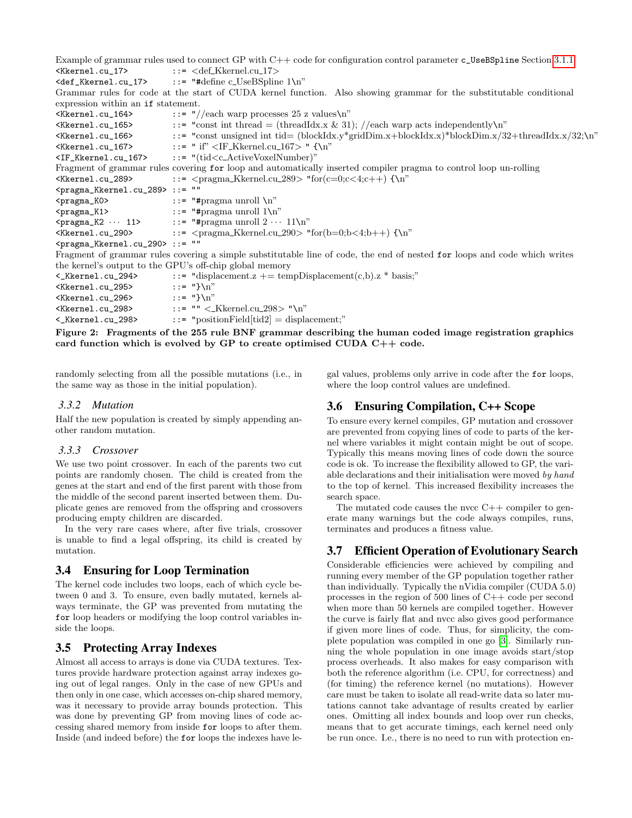Example of grammar rules used to connect GP with C++ code for configuration control parameter c\_UseBSpline Section [3.1.1](#page-2-0) <Kkernel.cu\_17> ::= <def Kkernel.cu 17>  $\text{def}_K$ kernel.cu\_17> ::= "#define c\_UseBSpline 1\n" Grammar rules for code at the start of CUDA kernel function. Also showing grammar for the substitutable conditional expression within an if statement.  $\langle$ Kkernel.cu\_164> ::= "//each warp processes 25 z values\n"  $\langle$ Kkernel.cu\_165> ::= "const int thread = (threadIdx.x & 31); //each warp acts independently\n"  $\langle K\text{kernel.cu\_166} \rangle$  ::= "const unsigned int tid= (blockIdx.y\*gridDim.x+blockIdx.x)\*blockDim.x/32+threadIdx.x/32;\n"  $\langle$ Kkernel.cu\_167> ::= " if"  $\langle$ IF\_Kkernel.cu\_167> "  $\{\n\}$ " <IF\_Kkernel.cu\_167> ::= "(tid<c ActiveVoxelNumber)" Fragment of grammar rules covering for loop and automatically inserted compiler pragma to control loop un-rolling  $\langle$ Kkernel.cu\_289> ::=  $\langle$ pragma\_Kkernel.cu\_289> "for(c=0;c $\langle$ 4;c++) {\n" <pragma\_Kkernel.cu\_289> ::= ""  $\epsilon$ pragma\_KO> ::= "#pragma unroll \n"  $\epsilon$ pragma\_K1> ::= "#pragma unroll  $1\$ n"  $\epsilon_{\text{pragma\_K2}} \cdots 11$ > ::= "#pragma unroll  $2 \cdots 11\$ n"  $\langle$ Kkernel.cu\_290> ::=  $\langle$ pragma\_Kkernel.cu\_290> "for(b=0;b $\langle$ 4;b++) {\n" <pragma\_Kkernel.cu\_290> ::= "" Fragment of grammar rules covering a simple substitutable line of code, the end of nested for loops and code which writes the kernel's output to the GPU's off-chip global memory  $\langle K\text{kernel.cu}_294\rangle$  ::= "displacement.z += tempDisplacement(c,b).z \* basis;"<br> $\langle K\text{kernel.cu}_295\rangle$  ::= "}\n"  $\kappa$  <br>  $\kappa$  = "}\n"<br>  $\kappa$  = "}\n"<br>  $\kappa$  = "}\n" <Kkernel.cu 296>  $\kappa$ kernel.cu\_298> ::= ""  $\kappa$ Kkernel.cu\_298> "\n" <\_Kkernel.cu\_298> ::= "positionField[tid2] = displacement;"

<span id="page-3-0"></span>Figure 2: Fragments of the 255 rule BNF grammar describing the human coded image registration graphics card function which is evolved by GP to create optimised CUDA  $C++$  code.

randomly selecting from all the possible mutations (i.e., in the same way as those in the initial population).

#### *3.3.2 Mutation*

Half the new population is created by simply appending another random mutation.

#### *3.3.3 Crossover*

We use two point crossover. In each of the parents two cut points are randomly chosen. The child is created from the genes at the start and end of the first parent with those from the middle of the second parent inserted between them. Duplicate genes are removed from the offspring and crossovers producing empty children are discarded.

In the very rare cases where, after five trials, crossover is unable to find a legal offspring, its child is created by mutation.

## 3.4 Ensuring for Loop Termination

The kernel code includes two loops, each of which cycle between 0 and 3. To ensure, even badly mutated, kernels always terminate, the GP was prevented from mutating the for loop headers or modifying the loop control variables inside the loops.

#### 3.5 Protecting Array Indexes

Almost all access to arrays is done via CUDA textures. Textures provide hardware protection against array indexes going out of legal ranges. Only in the case of new GPUs and then only in one case, which accesses on-chip shared memory, was it necessary to provide array bounds protection. This was done by preventing GP from moving lines of code accessing shared memory from inside for loops to after them. Inside (and indeed before) the for loops the indexes have legal values, problems only arrive in code after the for loops, where the loop control values are undefined.

## 3.6 Ensuring Compilation, C++ Scope

To ensure every kernel compiles, GP mutation and crossover are prevented from copying lines of code to parts of the kernel where variables it might contain might be out of scope. Typically this means moving lines of code down the source code is ok. To increase the flexibility allowed to GP, the variable declarations and their initialisation were moved by hand to the top of kernel. This increased flexibility increases the search space.

The mutated code causes the nvcc  $C++$  compiler to generate many warnings but the code always compiles, runs, terminates and produces a fitness value.

## 3.7 Efficient Operation of Evolutionary Search

Considerable efficiencies were achieved by compiling and running every member of the GP population together rather than individually. Typically the nVidia compiler (CUDA 5.0) processes in the region of 500 lines of C++ code per second when more than 50 kernels are compiled together. However the curve is fairly flat and nvcc also gives good performance if given more lines of code. Thus, for simplicity, the complete population was compiled in one go [\[3\]](#page-7-4). Similarly running the whole population in one image avoids start/stop process overheads. It also makes for easy comparison with both the reference algorithm (i.e. CPU, for correctness) and (for timing) the reference kernel (no mutations). However care must be taken to isolate all read-write data so later mutations cannot take advantage of results created by earlier ones. Omitting all index bounds and loop over run checks, means that to get accurate timings, each kernel need only be run once. I.e., there is no need to run with protection en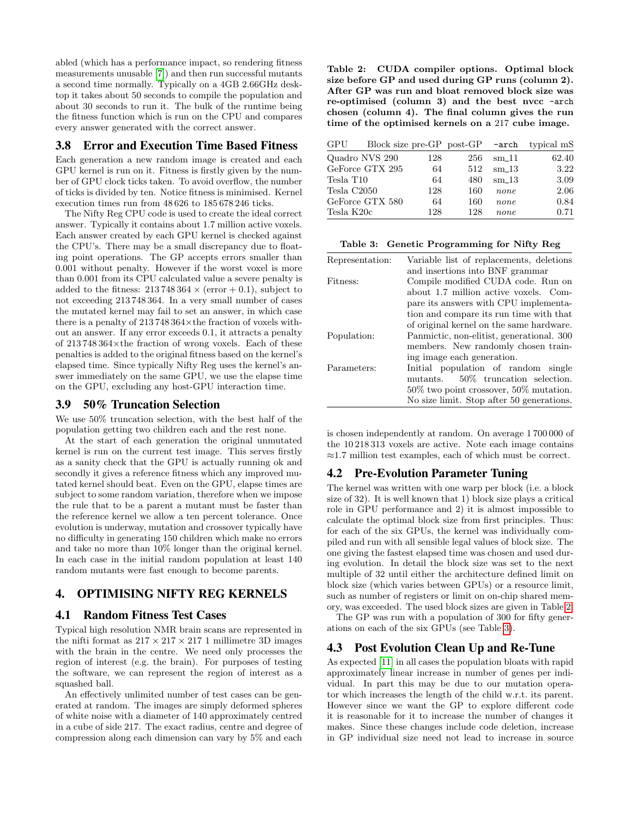abled (which has a performance impact, so rendering fitness measurements unusable [\[7\]](#page-7-5)) and then run successful mutants a second time normally. Typically on a 4GB 2.66GHz desktop it takes about 50 seconds to compile the population and about 30 seconds to run it. The bulk of the runtime being the fitness function which is run on the CPU and compares every answer generated with the correct answer.

## 3.8 Error and Execution Time Based Fitness

Each generation a new random image is created and each GPU kernel is run on it. Fitness is firstly given by the number of GPU clock ticks taken. To avoid overflow, the number of ticks is divided by ten. Notice fitness is minimised. Kernel execution times run from 48 626 to 185 678 246 ticks.

The Nifty Reg CPU code is used to create the ideal correct answer. Typically it contains about 1.7 million active voxels. Each answer created by each GPU kernel is checked against the CPU's. There may be a small discrepancy due to floating point operations. The GP accepts errors smaller than 0.001 without penalty. However if the worst voxel is more than 0.001 from its CPU calculated value a severe penalty is added to the fitness:  $213748364 \times (error + 0.1)$ , subject to not exceeding 213 748 364. In a very small number of cases the mutated kernel may fail to set an answer, in which case there is a penalty of  $213748364\times$ the fraction of voxels without an answer. If any error exceeds 0.1, it attracts a penalty of 213 748 364×the fraction of wrong voxels. Each of these penalties is added to the original fitness based on the kernel's elapsed time. Since typically Nifty Reg uses the kernel's answer immediately on the same GPU, we use the elapse time on the GPU, excluding any host-GPU interaction time.

## 3.9 50% Truncation Selection

We use 50% truncation selection, with the best half of the population getting two children each and the rest none.

At the start of each generation the original unmutated kernel is run on the current test image. This serves firstly as a sanity check that the GPU is actually running ok and secondly it gives a reference fitness which any improved mutated kernel should beat. Even on the GPU, elapse times are subject to some random variation, therefore when we impose the rule that to be a parent a mutant must be faster than the reference kernel we allow a ten percent tolerance. Once evolution is underway, mutation and crossover typically have no difficulty in generating 150 children which make no errors and take no more than 10% longer than the original kernel. In each case in the initial random population at least 140 random mutants were fast enough to become parents.

# 4. OPTIMISING NIFTY REG KERNELS

#### 4.1 Random Fitness Test Cases

Typical high resolution NMR brain scans are represented in the nifti format as  $217 \times 217 \times 217$  1 millimetre 3D images with the brain in the centre. We need only processes the region of interest (e.g. the brain). For purposes of testing the software, we can represent the region of interest as a squashed ball.

An effectively unlimited number of test cases can be generated at random. The images are simply deformed spheres of white noise with a diameter of 140 approximately centred in a cube of side 217. The exact radius, centre and degree of compression along each dimension can vary by 5% and each

<span id="page-4-0"></span>Table 2: CUDA compiler options. Optimal block size before GP and used during GP runs (column 2). After GP was run and bloat removed block size was re-optimised (column 3) and the best nvcc -arch chosen (column 4). The final column gives the run time of the optimised kernels on a 217 cube image.

| GPU                     | Block size pre-GP post-GP -arch |     |     |                   | typical mS |
|-------------------------|---------------------------------|-----|-----|-------------------|------------|
|                         | Quadro NVS 290                  | 128 | 256 | $\rm{cm}$ –11     | 62.40      |
|                         | GeForce GTX 295                 | 64  | 512 | $\mathrm{sm}\_13$ | 3.22       |
| Tesla T <sub>10</sub>   |                                 | 64  | 480 | $\mathrm{sm}\_13$ | 3.09       |
| Tesla C <sub>2050</sub> |                                 | 128 | 160 | none              | 2.06       |
|                         | GeForce GTX 580                 | 64  | 160 | none              | 0.84       |
| Tesla K20c              |                                 | 128 | 128 | none              | 0.71       |

<span id="page-4-1"></span>Table 3: Genetic Programming for Nifty Reg

| Representation: | Variable list of replacements, deletions     |
|-----------------|----------------------------------------------|
|                 | and insertions into BNF grammar              |
| Fitness:        | Compile modified CUDA code. Run on           |
|                 | about 1.7 million active voxels. Com-        |
|                 | pare its answers with CPU implementa-        |
|                 | tion and compare its run time with that      |
|                 | of original kernel on the same hardware.     |
| Population:     | Panmictic, non-elitist, generational. 300    |
|                 | members. New randomly chosen train-          |
|                 | ing image each generation.                   |
| Parameters:     | Initial population of random single          |
|                 | 50\% truncation selection.<br>mutants.       |
|                 | $50\%$ two point crossover, $50\%$ mutation. |
|                 | No size limit. Stop after 50 generations.    |
|                 |                                              |

is chosen independently at random. On average 1 700 000 of the 10 218 313 voxels are active. Note each image contains ≈1.7 million test examples, each of which must be correct.

#### 4.2 Pre-Evolution Parameter Tuning

The kernel was written with one warp per block (i.e. a block size of 32). It is well known that 1) block size plays a critical role in GPU performance and 2) it is almost impossible to calculate the optimal block size from first principles. Thus: for each of the six GPUs, the kernel was individually compiled and run with all sensible legal values of block size. The one giving the fastest elapsed time was chosen and used during evolution. In detail the block size was set to the next multiple of 32 until either the architecture defined limit on block size (which varies between GPUs) or a resource limit, such as number of registers or limit on on-chip shared memory, was exceeded. The used block sizes are given in Table [2.](#page-4-0)

The GP was run with a population of 300 for fifty generations on each of the six GPUs (see Table [3\)](#page-4-1).

#### <span id="page-4-2"></span>4.3 Post Evolution Clean Up and Re-Tune

As expected [\[11\]](#page-7-6) in all cases the population bloats with rapid approximately linear increase in number of genes per individual. In part this may be due to our mutation operator which increases the length of the child w.r.t. its parent. However since we want the GP to explore different code it is reasonable for it to increase the number of changes it makes. Since these changes include code deletion, increase in GP individual size need not lead to increase in source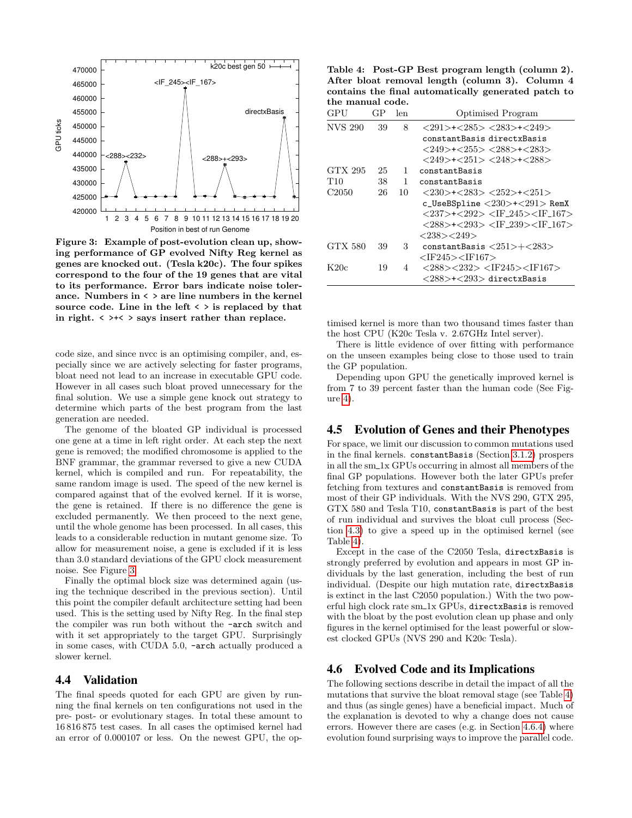

<span id="page-5-1"></span>Figure 3: Example of post-evolution clean up, showing performance of GP evolved Nifty Reg kernel as genes are knocked out. (Tesla k20c). The four spikes correspond to the four of the 19 genes that are vital to its performance. Error bars indicate noise tolerance. Numbers in < > are line numbers in the kernel source code. Line in the left  $\langle \rangle$  is replaced by that in right.  $\langle \rangle$   $\rightarrow$   $\langle \rangle$  says insert rather than replace.

code size, and since nvcc is an optimising compiler, and, especially since we are actively selecting for faster programs, bloat need not lead to an increase in executable GPU code. However in all cases such bloat proved unnecessary for the final solution. We use a simple gene knock out strategy to determine which parts of the best program from the last generation are needed.

The genome of the bloated GP individual is processed one gene at a time in left right order. At each step the next gene is removed; the modified chromosome is applied to the BNF grammar, the grammar reversed to give a new CUDA kernel, which is compiled and run. For repeatability, the same random image is used. The speed of the new kernel is compared against that of the evolved kernel. If it is worse, the gene is retained. If there is no difference the gene is excluded permanently. We then proceed to the next gene, until the whole genome has been processed. In all cases, this leads to a considerable reduction in mutant genome size. To allow for measurement noise, a gene is excluded if it is less than 3.0 standard deviations of the GPU clock measurement noise. See Figure [3.](#page-5-1)

Finally the optimal block size was determined again (using the technique described in the previous section). Until this point the compiler default architecture setting had been used. This is the setting used by Nifty Reg. In the final step the compiler was run both without the -arch switch and with it set appropriately to the target GPU. Surprisingly in some cases, with CUDA 5.0, -arch actually produced a slower kernel.

#### 4.4 Validation

The final speeds quoted for each GPU are given by running the final kernels on ten configurations not used in the pre- post- or evolutionary stages. In total these amount to 16 816 875 test cases. In all cases the optimised kernel had an error of 0.000107 or less. On the newest GPU, the op-

<span id="page-5-0"></span>Table 4: Post-GP Best program length (column 2). After bloat removal length (column 3). Column 4 contains the final automatically generated patch to the manual code.

| GPU               | GP | len          | <b>Optimised Program</b>                                                                    |
|-------------------|----|--------------|---------------------------------------------------------------------------------------------|
| <b>NVS 290</b>    | 39 | 8            | $<$ 291>+ $<$ 285> $<$ 283>+ $<$ 249>                                                       |
|                   |    |              | constantBasis directxBasis                                                                  |
|                   |    |              | $<$ 249>+ $<$ 255> $<$ 288>+ $<$ 283>                                                       |
|                   |    |              | $<$ 249>+ $<$ 251> $<$ 248>+ $<$ 288>                                                       |
| GTX 295           | 25 | 1            | constantBasis                                                                               |
| T10               | 38 | $\mathbf{1}$ | constantBasis                                                                               |
| C <sub>2050</sub> | 26 | 10           | $\langle 230 \rangle$ + $\langle 283 \rangle$ $\langle 252 \rangle$ + $\langle 251 \rangle$ |
|                   |    |              | c_UseBSpline $<$ 230>+ $<$ 291> RemX                                                        |
|                   |    |              | $<$ 237>+ $<$ 292> $<$ IF_245> $<$ IF_167>                                                  |
|                   |    |              | <288>+<293> <if 239=""><if 167=""></if></if>                                                |
|                   |    |              | $<$ 238> $<$ 249>                                                                           |
| GTX 580           | 39 | 3            | $constantBasis <251>+<283>$                                                                 |
|                   |    |              | <if245><if167></if167></if245>                                                              |
| K20c              | 19 | 4            | $<$ 288> $<$ 232> $<$ IF245> $<$ IF167>                                                     |
|                   |    |              | $<$ 288 $>$ + $<$ 293 $>$ directxBasis                                                      |

timised kernel is more than two thousand times faster than the host CPU (K20c Tesla v. 2.67GHz Intel server).

There is little evidence of over fitting with performance on the unseen examples being close to those used to train the GP population.

Depending upon GPU the genetically improved kernel is from 7 to 39 percent faster than the human code (See Figure [4\)](#page-6-0).

#### 4.5 Evolution of Genes and their Phenotypes

For space, we limit our discussion to common mutations used in the final kernels. constantBasis (Section [3.1.2\)](#page-2-1) prospers in all the sm 1x GPUs occurring in almost all members of the final GP populations. However both the later GPUs prefer fetching from textures and constantBasis is removed from most of their GP individuals. With the NVS 290, GTX 295, GTX 580 and Tesla T10, constantBasis is part of the best of run individual and survives the bloat cull process (Section [4.3\)](#page-4-2) to give a speed up in the optimised kernel (see Table [4\)](#page-5-0).

Except in the case of the C2050 Tesla, directxBasis is strongly preferred by evolution and appears in most GP individuals by the last generation, including the best of run individual. (Despite our high mutation rate, directxBasis is extinct in the last C2050 population.) With the two powerful high clock rate sm 1x GPUs, directxBasis is removed with the bloat by the post evolution clean up phase and only figures in the kernel optimised for the least powerful or slowest clocked GPUs (NVS 290 and K20c Tesla).

## 4.6 Evolved Code and its Implications

The following sections describe in detail the impact of all the mutations that survive the bloat removal stage (see Table [4\)](#page-5-0) and thus (as single genes) have a beneficial impact. Much of the explanation is devoted to why a change does not cause errors. However there are cases (e.g. in Section [4.6.4\)](#page-6-1) where evolution found surprising ways to improve the parallel code.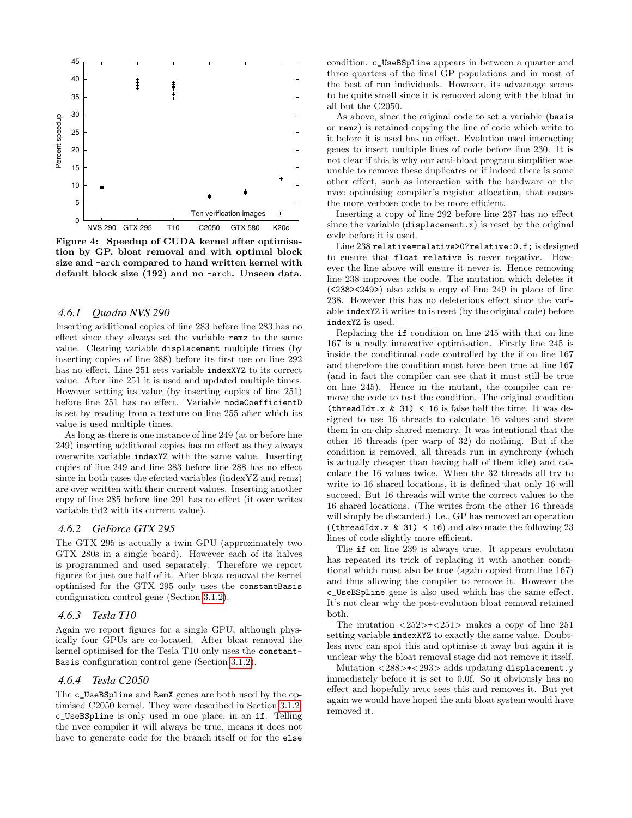

<span id="page-6-0"></span>Figure 4: Speedup of CUDA kernel after optimisation by GP, bloat removal and with optimal block size and -arch compared to hand written kernel with default block size (192) and no -arch. Unseen data.

#### *4.6.1 Quadro NVS 290*

Inserting additional copies of line 283 before line 283 has no effect since they always set the variable remz to the same value. Clearing variable displacement multiple times (by inserting copies of line 288) before its first use on line 292 has no effect. Line 251 sets variable indexXYZ to its correct value. After line 251 it is used and updated multiple times. However setting its value (by inserting copies of line 251) before line 251 has no effect. Variable nodeCoefficientD is set by reading from a texture on line 255 after which its value is used multiple times.

As long as there is one instance of line 249 (at or before line 249) inserting additional copies has no effect as they always overwrite variable indexYZ with the same value. Inserting copies of line 249 and line 283 before line 288 has no effect since in both cases the efected variables (indexYZ and remz) are over written with their current values. Inserting another copy of line 285 before line 291 has no effect (it over writes variable tid2 with its current value).

#### *4.6.2 GeForce GTX 295*

The GTX 295 is actually a twin GPU (approximately two GTX 280s in a single board). However each of its halves is programmed and used separately. Therefore we report figures for just one half of it. After bloat removal the kernel optimised for the GTX 295 only uses the constantBasis configuration control gene (Section [3.1.2\)](#page-2-1).

#### *4.6.3 Tesla T10*

Again we report figures for a single GPU, although physically four GPUs are co-located. After bloat removal the kernel optimised for the Tesla T10 only uses the constant-Basis configuration control gene (Section [3.1.2\)](#page-2-1).

#### <span id="page-6-1"></span>*4.6.4 Tesla C2050*

The c\_UseBSpline and RemX genes are both used by the optimised C2050 kernel. They were described in Section [3.1.2.](#page-2-1) c\_UseBSpline is only used in one place, in an if. Telling the nvcc compiler it will always be true, means it does not have to generate code for the branch itself or for the else

condition. c\_UseBSpline appears in between a quarter and three quarters of the final GP populations and in most of the best of run individuals. However, its advantage seems to be quite small since it is removed along with the bloat in all but the C2050.

As above, since the original code to set a variable (basis or remz) is retained copying the line of code which write to it before it is used has no effect. Evolution used interacting genes to insert multiple lines of code before line 230. It is not clear if this is why our anti-bloat program simplifier was unable to remove these duplicates or if indeed there is some other effect, such as interaction with the hardware or the nvcc optimising compiler's register allocation, that causes the more verbose code to be more efficient.

Inserting a copy of line 292 before line 237 has no effect since the variable (displacement.x) is reset by the original code before it is used.

Line 238 relative=relative>0?relative:0.f; is designed to ensure that float relative is never negative. However the line above will ensure it never is. Hence removing line 238 improves the code. The mutation which deletes it (<238><249>) also adds a copy of line 249 in place of line 238. However this has no deleterious effect since the variable indexYZ it writes to is reset (by the original code) before indexYZ is used.

Replacing the if condition on line 245 with that on line 167 is a really innovative optimisation. Firstly line 245 is inside the conditional code controlled by the if on line 167 and therefore the condition must have been true at line 167 (and in fact the compiler can see that it must still be true on line 245). Hence in the mutant, the compiler can remove the code to test the condition. The original condition (threadIdx.x  $& 31$ ) < 16 is false half the time. It was designed to use 16 threads to calculate 16 values and store them in on-chip shared memory. It was intentional that the other 16 threads (per warp of 32) do nothing. But if the condition is removed, all threads run in synchrony (which is actually cheaper than having half of them idle) and calculate the 16 values twice. When the 32 threads all try to write to 16 shared locations, it is defined that only 16 will succeed. But 16 threads will write the correct values to the 16 shared locations. (The writes from the other 16 threads will simply be discarded.) I.e., GP has removed an operation ((threadIdx.x  $& 31$ ) < 16) and also made the following 23 lines of code slightly more efficient.

The if on line 239 is always true. It appears evolution has repeated its trick of replacing it with another conditional which must also be true (again copied from line 167) and thus allowing the compiler to remove it. However the c\_UseBSpline gene is also used which has the same effect. It's not clear why the post-evolution bloat removal retained both.

The mutation  $\langle 252 \rangle + \langle 251 \rangle$  makes a copy of line 251 setting variable indexXYZ to exactly the same value. Doubtless nvcc can spot this and optimise it away but again it is unclear why the bloat removal stage did not remove it itself.

Mutation <288>+<293> adds updating displacement.y immediately before it is set to 0.0f. So it obviously has no effect and hopefully nvcc sees this and removes it. But yet again we would have hoped the anti bloat system would have removed it.